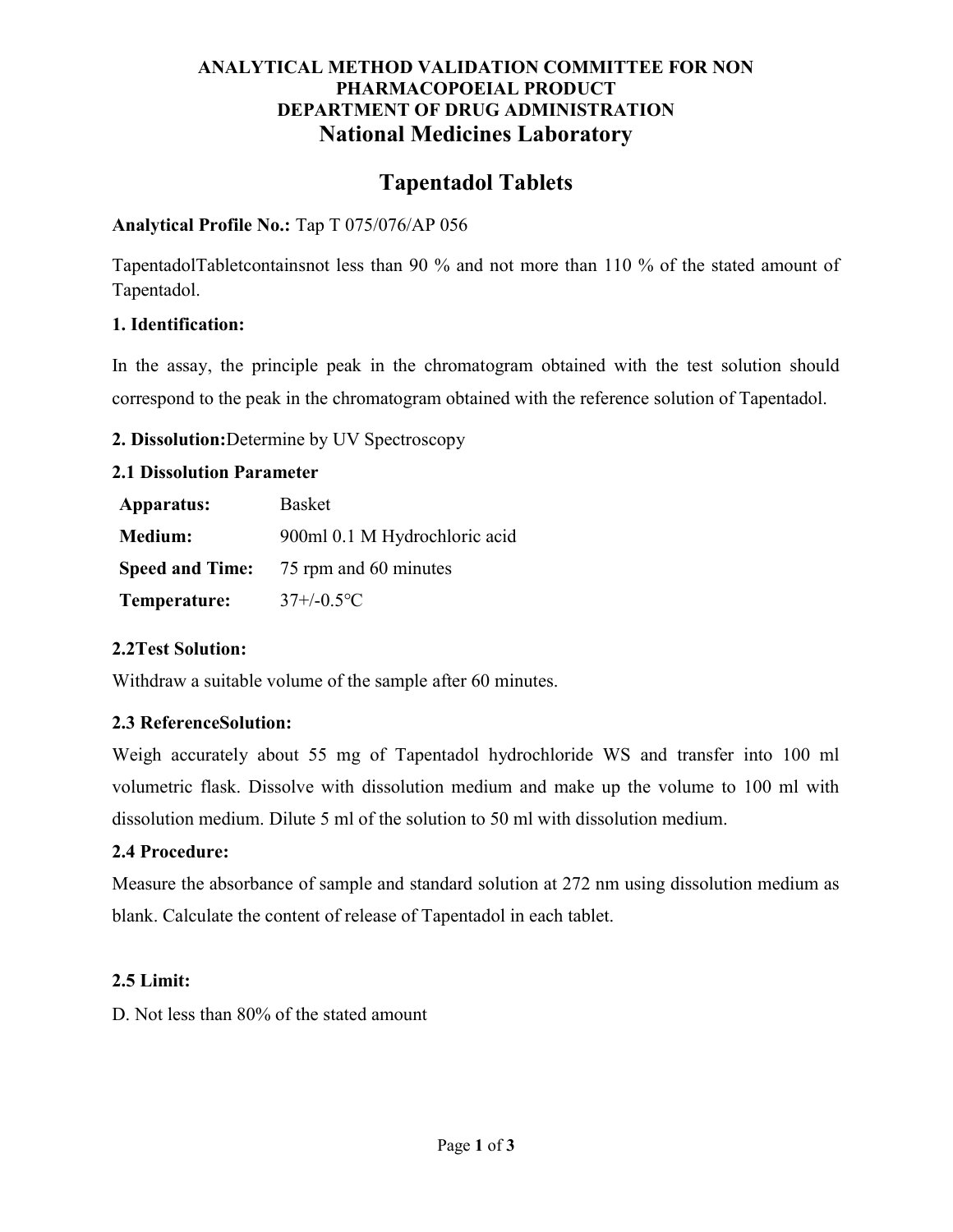# ANALYTICAL METHOD VALIDATION COMMITTEE FOR NON PHARMACOPOEIAL PRODUCT DEPARTMENT OF DRUG ADMINISTRATION National Medicines Laboratory

# Tapentadol Tablets

#### Analytical Profile No.: Tap T 075/076/AP 056

TapentadolTabletcontainsnot less than 90 % and not more than 110 % of the stated amount of Tapentadol.

## 1. Identification:

In the assay, the principle peak in the chromatogram obtained with the test solution should correspond to the peak in the chromatogram obtained with the reference solution of Tapentadol.

## 2. Dissolution:Determine by UV Spectroscopy

#### 2.1 Dissolution Parameter

| Apparatus:     | Basket                                       |
|----------------|----------------------------------------------|
| <b>Medium:</b> | 900ml 0.1 M Hydrochloric acid                |
|                | <b>Speed and Time:</b> 75 rpm and 60 minutes |
| Temperature:   | $37 + (-0.5$ <sup>o</sup> C                  |

# 2.2Test Solution:

Withdraw a suitable volume of the sample after 60 minutes.

# 2.3 ReferenceSolution:

Weigh accurately about 55 mg of Tapentadol hydrochloride WS and transfer into 100 ml volumetric flask. Dissolve with dissolution medium and make up the volume to 100 ml with dissolution medium. Dilute 5 ml of the solution to 50 ml with dissolution medium.

#### 2.4 Procedure:

Measure the absorbance of sample and standard solution at 272 nm using dissolution medium as blank. Calculate the content of release of Tapentadol in each tablet.

#### 2.5 Limit:

D. Not less than 80% of the stated amount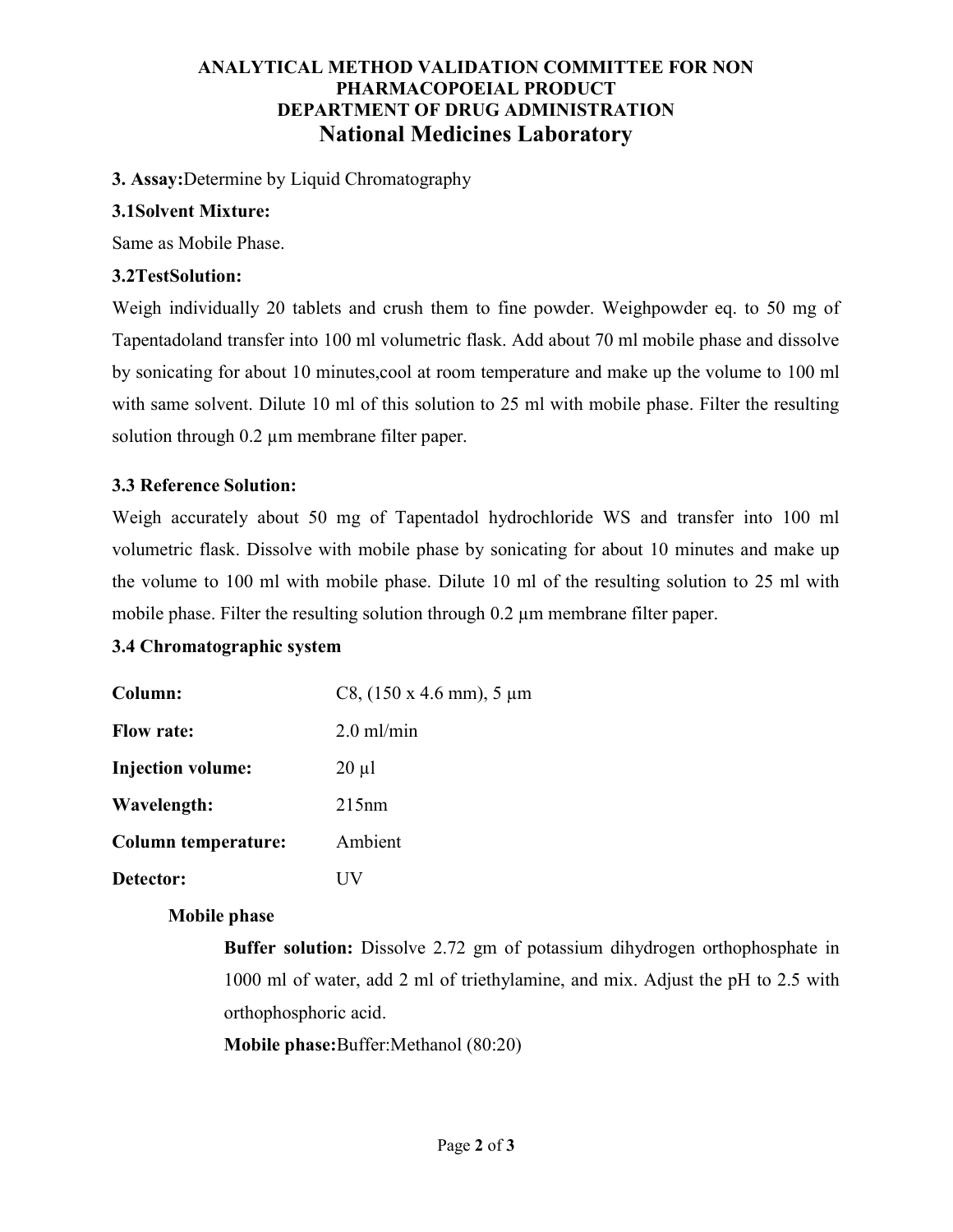# ANALYTICAL METHOD VALIDATION COMMITTEE FOR NON PHARMACOPOEIAL PRODUCT DEPARTMENT OF DRUG ADMINISTRATION National Medicines Laboratory

## 3. Assay:Determine by Liquid Chromatography

## 3.1Solvent Mixture:

Same as Mobile Phase.

## 3.2TestSolution:

Weigh individually 20 tablets and crush them to fine powder. Weighpowder eq. to 50 mg of Tapentadoland transfer into 100 ml volumetric flask. Add about 70 ml mobile phase and dissolve by sonicating for about 10 minutes,cool at room temperature and make up the volume to 100 ml with same solvent. Dilute 10 ml of this solution to 25 ml with mobile phase. Filter the resulting solution through 0.2 µm membrane filter paper.

# 3.3 Reference Solution:

Weigh accurately about 50 mg of Tapentadol hydrochloride WS and transfer into 100 ml volumetric flask. Dissolve with mobile phase by sonicating for about 10 minutes and make up the volume to 100 ml with mobile phase. Dilute 10 ml of the resulting solution to 25 ml with mobile phase. Filter the resulting solution through 0.2 µm membrane filter paper.

#### 3.4 Chromatographic system

| Column:                    | C8, $(150 \times 4.6 \text{ mm})$ , 5 µm |
|----------------------------|------------------------------------------|
| <b>Flow rate:</b>          | $2.0$ ml/min                             |
| <b>Injection volume:</b>   | $20 \mu l$                               |
| Wavelength:                | 215nm                                    |
| <b>Column temperature:</b> | Ambient                                  |
| Detector:                  |                                          |

# Mobile phase

Buffer solution: Dissolve 2.72 gm of potassium dihydrogen orthophosphate in 1000 ml of water, add 2 ml of triethylamine, and mix. Adjust the pH to 2.5 with orthophosphoric acid.

Mobile phase:Buffer:Methanol (80:20)